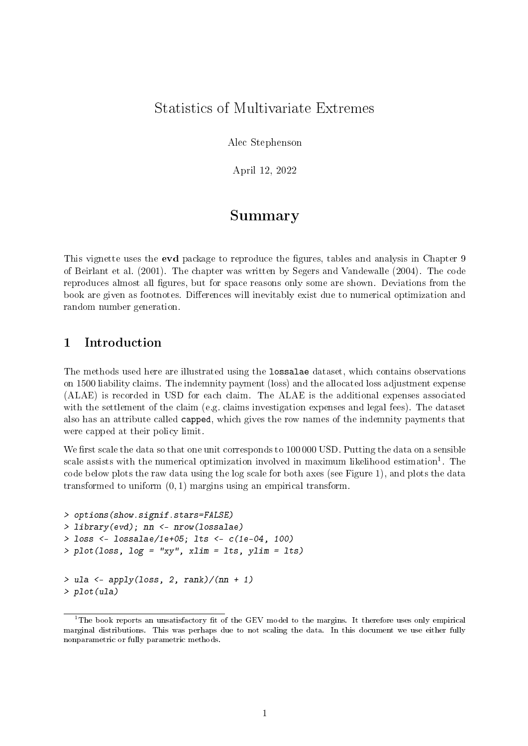## Statistics of Multivariate Extremes

Alec Stephenson

April 12, 2022

# Summary

This vignette uses the **evd** package to reproduce the figures, tables and analysis in Chapter 9 of Beirlant et al. (2001). The chapter was written by Segers and Vandewalle (2004). The code reproduces almost all figures, but for space reasons only some are shown. Deviations from the book are given as footnotes. Differences will inevitably exist due to numerical optimization and random number generation.

### 1 Introduction

The methods used here are illustrated using the lossalae dataset, which contains observations on 1500 liability claims. The indemnity payment (loss) and the allocated loss adjustment expense (ALAE) is recorded in USD for each claim. The ALAE is the additional expenses associated with the settlement of the claim (e.g. claims investigation expenses and legal fees). The dataset also has an attribute called capped, which gives the row names of the indemnity payments that were capped at their policy limit.

We first scale the data so that one unit corresponds to 100 000 USD. Putting the data on a sensible scale assists with the numerical optimization involved in maximum likelihood estimation<sup>1</sup>. The code below plots the raw data using the log scale for both axes (see Figure 1), and plots the data transformed to uniform  $(0, 1)$  margins using an empirical transform.

```
> options(show.signif.stars=FALSE)
> library(evd); nn <- nrow(lossalae)
> loss <- lossalae/1e+05; lts <- c(1e-04, 100)
> plot(loss, log = "xy", xlim = lts, ylim = lts)
> ula \lt- apply(loss, 2, rank)/(nn + 1)
> plot(ula)
```
 $1$ The book reports an unsatisfactory fit of the GEV model to the margins. It therefore uses only empirical marginal distributions. This was perhaps due to not scaling the data. In this document we use either fully nonparametric or fully parametric methods.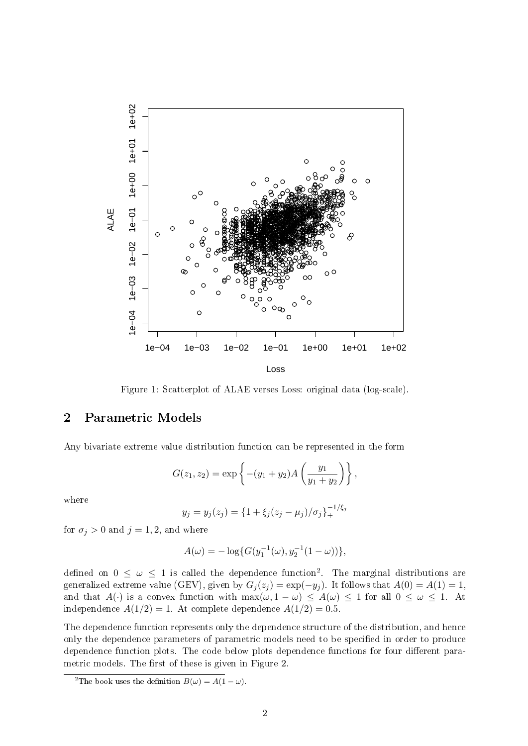

Figure 1: Scatterplot of ALAE verses Loss: original data (log-scale).

#### 2 Parametric Models

Any bivariate extreme value distribution function can be represented in the form

$$
G(z_1, z_2) = \exp \left\{ -(y_1 + y_2) A \left( \frac{y_1}{y_1 + y_2} \right) \right\},\,
$$

where

$$
y_j = y_j(z_j) = \{1 + \xi_j(z_j - \mu_j)/\sigma_j\}_{+}^{-1/\xi_j}
$$

for  $\sigma_j > 0$  and  $j = 1, 2$ , and where

$$
A(\omega) = -\log\{G(y_1^{-1}(\omega), y_2^{-1}(1-\omega))\},\,
$$

defined on  $0 \leq \omega \leq 1$  is called the dependence function<sup>2</sup>. The marginal distributions are generalized extreme value (GEV), given by  $G_i(z_i) = \exp(-y_i)$ . It follows that  $A(0) = A(1) = 1$ , and that  $A(\cdot)$  is a convex function with  $\max(\omega, 1 - \omega) \leq A(\omega) \leq 1$  for all  $0 \leq \omega \leq 1$ . At independence  $A(1/2) = 1$ . At complete dependence  $A(1/2) = 0.5$ .

The dependence function represents only the dependence structure of the distribution, and hence only the dependence parameters of parametric models need to be specified in order to produce dependence function plots. The code below plots dependence functions for four different parametric models. The first of these is given in Figure 2.

<sup>&</sup>lt;sup>2</sup>The book uses the definition  $B(\omega) = A(1 - \omega)$ .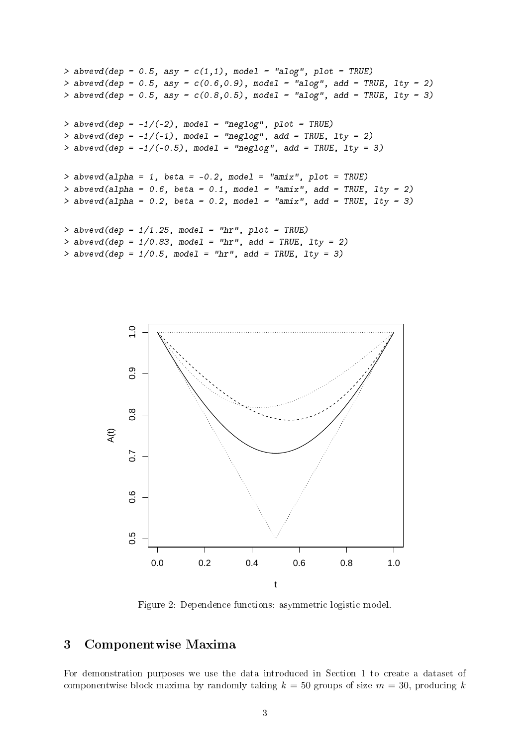```
> abvevd(dep = 0.5, asy = c(1,1), model = "alog", plot = TRUE)
> abvevd(dep = 0.5, asy = c(0.6, 0.9), model = "alog", add = TRUE, lty = 2)
> abvevd(dep = 0.5, asy = c(0.8, 0.5), model = "alog", add = TRUE, lty = 3)
> abvevd(dep = -1/(-2), model = "neglog", plot = TRUE)
> abvevd(dep = -1/(-1), model = "neglog", add = TRUE, 1ty = 2)
> abvevd(dep = -1/(-0.5), model = "neglog", add = TRUE, lty = 3)
> abvevd(alpha = 1, beta = -0.2, model = "amix", plot = TRUE)
> abvevd(alpha = 0.6, beta = 0.1, model = "amix", add = TRUE, lty = 2)
> abvevd(alpha = 0.2, beta = 0.2, model = "amix", add = TRUE, lty = 3)
> abvevd(dep = 1/1.25, model = "hr", plot = TRUE)
> abvevd(dep = 1/0.83, model = "hr", add = TRUE, 1ty = 2)
> abvevd(dep = 1/0.5, model = "hr", add = TRUE, 1ty = 3)
```


Figure 2: Dependence functions: asymmetric logistic model.

#### 3 Componentwise Maxima

For demonstration purposes we use the data introduced in Section 1 to create a dataset of componentwise block maxima by randomly taking  $k = 50$  groups of size  $m = 30$ , producing k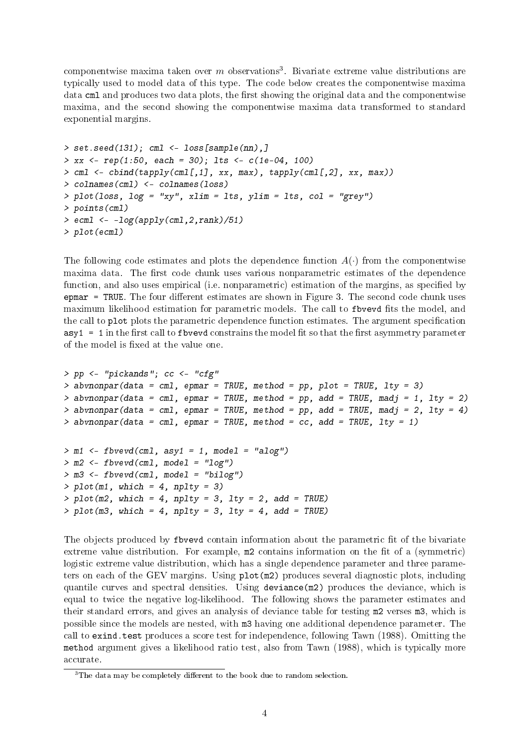componentwise maxima taken over  $m$  observations<sup>3</sup>. Bivariate extreme value distributions are typically used to model data of this type. The code below creates the componentwise maxima data cml and produces two data plots, the first showing the original data and the componentwise maxima, and the second showing the componentwise maxima data transformed to standard exponential margins.

```
> set.seed(131); cml <- loss[sample(nn),]
> xx < - rep(1:50, each = 30); Its < -c(1e-04, 100)> cml <- cbind(tapply(cml[,1], xx, max), tapply(cml[,2], xx, max))
> colnames(cml) <- colnames(loss)
> plot(loss, log = "xy", xlim = lts, ylim = lts, col = "grey")
> points(cml)
> ecml <- -log(apply(cml, 2, rank)/51)
> plot(ecml)
```
The following code estimates and plots the dependence function  $A(\cdot)$  from the componentwise maxima data. The first code chunk uses various nonparametric estimates of the dependence function, and also uses empirical (i.e. nonparametric) estimation of the margins, as specified by  $\epsilon$  epmar = TRUE. The four different estimates are shown in Figure 3. The second code chunk uses maximum likelihood estimation for parametric models. The call to fbvevd fits the model, and the call to plot plots the parametric dependence function estimates. The argument specification  $\texttt{asyl} = 1$  in the first call to fbvevd constrains the model fit so that the first asymmetry parameter of the model is fixed at the value one.

```
> pp <- "pickands"; cc <- "cfg"
> abvnonpar(data = cml, epmar = TRUE, method = pp, plot = TRUE, lty = 3)
> abvnonpar(data = cml, epmar = TRUE, method = pp, add = TRUE, madj = 1, lty = 2)
> abvnonpar(data = cml, epmar = TRUE, method = pp, add = TRUE, madj = 2, lty = 4)
> abvnonpar(data = cml, epmar = TRUE, method = cc, add = TRUE, 1ty = 1)
> m1 <- fbvevd(cml, asy1 = 1, model = "alog")
> m2 < - fbvevd(cml, model = "log")
> m3 <- fbvevd(cml, model = "bilog")
> plot(m1, which = 4, nplty = 3)> plot(m2, which = 4, nply = 3, lty = 2, add = TRUE)> plot(m3, which = 4, nplty = 3, lty = 4, add = TRUE)
```
The objects produced by flowerd contain information about the parametric fit of the bivariate extreme value distribution. For example,  $m2$  contains information on the fit of a (symmetric) logistic extreme value distribution, which has a single dependence parameter and three parameters on each of the GEV margins. Using plot(m2) produces several diagnostic plots, including quantile curves and spectral densities. Using deviance(m2) produces the deviance, which is equal to twice the negative log-likelihood. The following shows the parameter estimates and their standard errors, and gives an analysis of deviance table for testing m2 verses m3, which is possible since the models are nested, with m3 having one additional dependence parameter. The call to exind.test produces a score test for independence, following Tawn (1988). Omitting the method argument gives a likelihood ratio test, also from Tawn (1988), which is typically more accurate.

 $3$ The data may be completely different to the book due to random selection.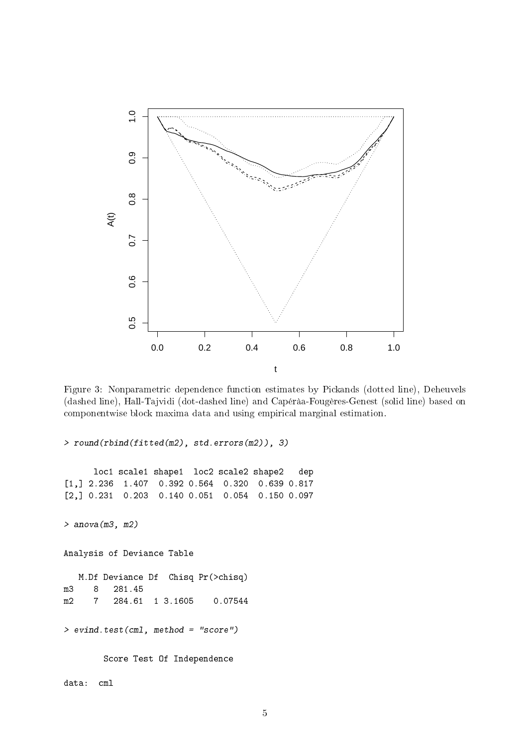

Figure 3: Nonparametric dependence function estimates by Pickands (dotted line), Deheuvels (dashed line), Hall-Tajvidi (dot-dashed line) and Capéràa-Fougères-Genest (solid line) based on componentwise block maxima data and using empirical marginal estimation.

> round(rbind(fitted(m2), std.errors(m2)), 3) loc1 scale1 shape1 loc2 scale2 shape2 dep [1,] 2.236 1.407 0.392 0.564 0.320 0.639 0.817 [2,] 0.231 0.203 0.140 0.051 0.054 0.150 0.097 > anova(m3, m2) Analysis of Deviance Table M.Df Deviance Df Chisq Pr(>chisq) m3 8 281.45 m2 7 284.61 1 3.1605 0.07544 > evind.test(cml, method = "score") Score Test Of Independence data: cml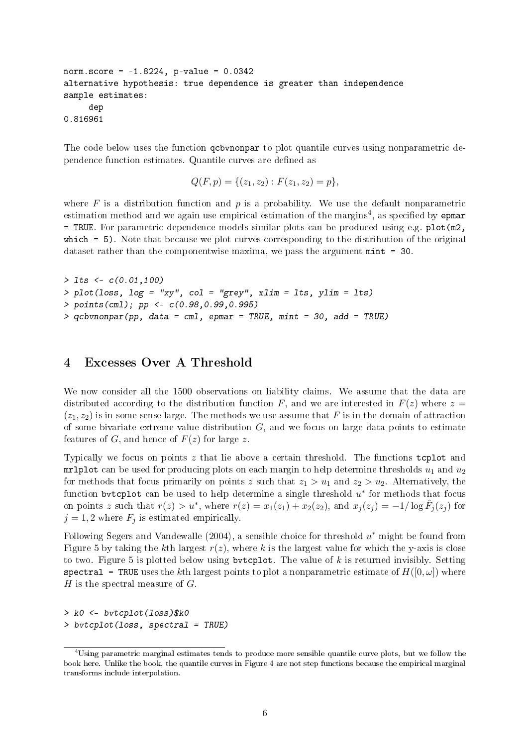```
norm.score = -1.8224, p-value = 0.0342
alternative hypothesis: true dependence is greater than independence
sample estimates:
     dep
0.816961
```
The code below uses the function qcbvnonpar to plot quantile curves using nonparametric dependence function estimates. Quantile curves are defined as

 $Q(F, p) = \{(z_1, z_2) : F(z_1, z_2) = p\},\$ 

where  $F$  is a distribution function and  $p$  is a probability. We use the default nonparametric estimation method and we again use empirical estimation of the margins<sup>4</sup>, as specified by epmar = TRUE. For parametric dependence models similar plots can be produced using e.g. plot(m2, which = 5). Note that because we plot curves corresponding to the distribution of the original dataset rather than the componentwise maxima, we pass the argument mint = 30.

```
> 1ts <- c(0.01, 100)> plot(loss, log = "xy", col = "grey", xlim = lts, ylim = lts)
> points(cml); pp <- c(0.98,0.99,0.995)
> qcbvnonpar(pp, data = cm1, epmar = TRUE, mint = 30, add = TRUE)
```
#### 4 Excesses Over A Threshold

We now consider all the 1500 observations on liability claims. We assume that the data are distributed according to the distribution function F, and we are interested in  $F(z)$  where  $z =$  $(z_1, z_2)$  is in some sense large. The methods we use assume that F is in the domain of attraction of some bivariate extreme value distribution  $G$ , and we focus on large data points to estimate features of G, and hence of  $F(z)$  for large z.

Typically we focus on points z that lie above a certain threshold. The functions tcplot and mrlplot can be used for producing plots on each margin to help determine thresholds  $u_1$  and  $u_2$ for methods that focus primarily on points z such that  $z_1 > u_1$  and  $z_2 > u_2$ . Alternatively, the function bytcplot can be used to help determine a single threshold  $u^*$  for methods that focus on points z such that  $r(z) > u^*$ , where  $r(z) = x_1(z_1) + x_2(z_2)$ , and  $x_j(z_j) = -1/\log \hat{F}_j(z_j)$  for  $j = 1, 2$  where  $F_j$  is estimated empirically.

Following Segers and Vandewalle (2004), a sensible choice for threshold  $u^*$  might be found from Figure 5 by taking the kth largest  $r(z)$ , where k is the largest value for which the y-axis is close to two. Figure 5 is plotted below using bvtcplot. The value of  $k$  is returned invisibly. Setting spectral = TRUE uses the kth largest points to plot a nonparametric estimate of  $H([0,\omega])$  where H is the spectral measure of  $G$ .

```
> k0 <- bvtcplot(loss)$k0
> bvtcplot(loss, spectral = TRUE)
```
<sup>&</sup>lt;sup>4</sup>Using parametric marginal estimates tends to produce more sensible quantile curve plots, but we follow the book here. Unlike the book, the quantile curves in Figure 4 are not step functions because the empirical marginal transforms include interpolation.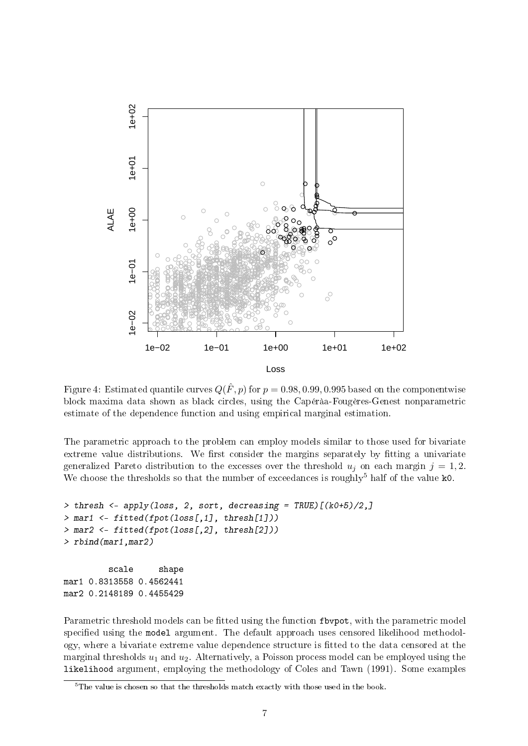

Figure 4: Estimated quantile curves  $Q(\hat{F}, p)$  for  $p = 0.98, 0.99, 0.995$  based on the componentwise block maxima data shown as black circles, using the Capéràa-Fougères-Genest nonparametric estimate of the dependence function and using empirical marginal estimation.

The parametric approach to the problem can employ models similar to those used for bivariate extreme value distributions. We first consider the margins separately by fitting a univariate generalized Pareto distribution to the excesses over the threshold  $u_j$  on each margin  $j = 1, 2$ . We choose the thresholds so that the number of exceedances is roughly<sup>5</sup> half of the value  $\texttt{k0}$ .

```
> thresh <- apply(loss, 2, sort, decreasing = TRUE)[(k0+5)/2,]
> mar1 <- fitted(fpot(loss[,1], thresh[1]))
> mar2 <- fitted(fpot(loss[,2], thresh[2]))
> rbind(mar1,mar2)
         scale shape
mar1 0.8313558 0.4562441
mar2 0.2148189 0.4455429
```
Parametric threshold models can be fitted using the function flowpot, with the parametric model specified using the model argument. The default approach uses censored likelihood methodology, where a bivariate extreme value dependence structure is fitted to the data censored at the marginal thresholds  $u_1$  and  $u_2$ . Alternatively, a Poisson process model can be employed using the likelihood argument, employing the methodology of Coles and Tawn (1991). Some examples

 $5$ The value is chosen so that the thresholds match exactly with those used in the book.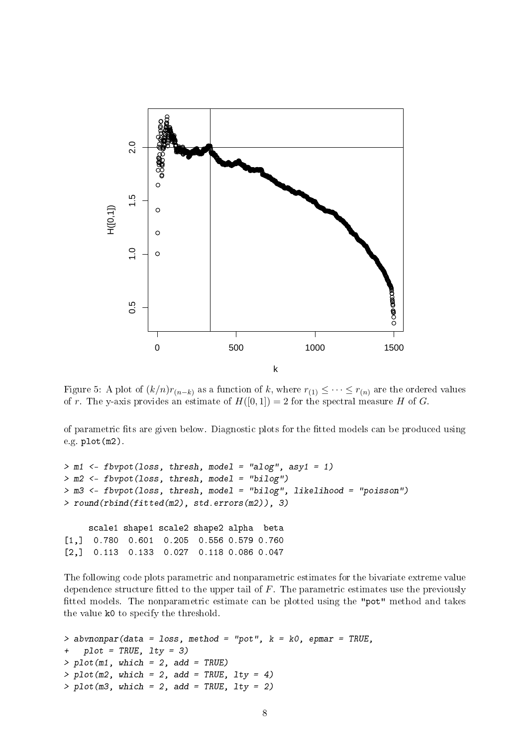

Figure 5: A plot of  $(k/n)r_{(n-k)}$  as a function of k, where  $r_{(1)} \leq \cdots \leq r_{(n)}$  are the ordered values of r. The y-axis provides an estimate of  $H([0, 1]) = 2$  for the spectral measure H of G.

of parametric fits are given below. Diagnostic plots for the fitted models can be produced using e.g. plot(m2).

 $>$  m1 <- fbvpot(loss, thresh, model = "alog", asy1 = 1) > m2 <- fbvpot(loss, thresh, model = "bilog") > m3 <- fbvpot(loss, thresh, model = "bilog", likelihood = "poisson") > round(rbind(fitted(m2), std.errors(m2)), 3) scale1 shape1 scale2 shape2 alpha beta [1,] 0.780 0.601 0.205 0.556 0.579 0.760 [2,] 0.113 0.133 0.027 0.118 0.086 0.047

The following code plots parametric and nonparametric estimates for the bivariate extreme value dependence structure fitted to the upper tail of  $F$ . The parametric estimates use the previously fitted models. The nonparametric estimate can be plotted using the "pot" method and takes the value k0 to specify the threshold.

```
> abvnonpar (data = loss, method = "pot", k = k0, epmar = TRUE,
+ plot = TRUE, lty = 3)
> plot(m1, which = 2, add = TRUE)> plet(m2, which = 2, add = TRUE, Ity = 4)> plot(m3, which = 2, add = TRUE, Ity = 2)
```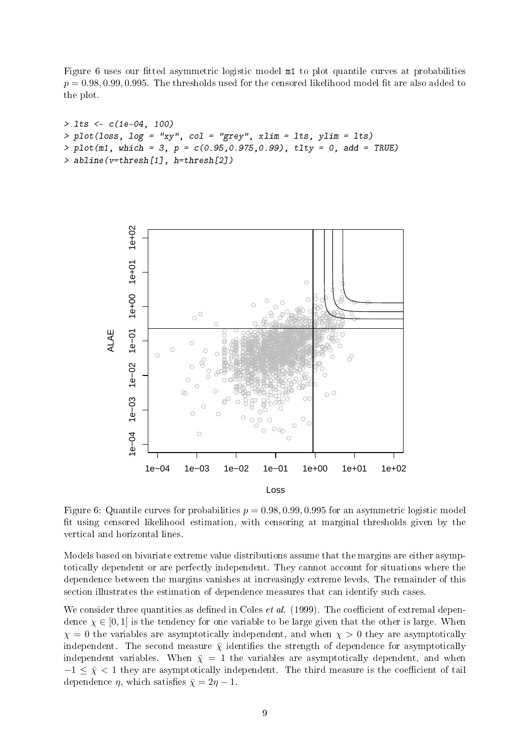Figure 6 uses our fitted asymmetric logistic model  $m1$  to plot quantile curves at probabilities  $p = 0.98, 0.99, 0.995$ . The thresholds used for the censored likelihood model fit are also added to the plot.

```
> lts <- c(1e-04, 100)
> plot(loss, log = "xy", col = "grey", xlim = lts, ylim = lts)
> plot(m1, which = 3, p = c(0.95, 0.975, 0.99), tlty = 0, add = TRUE)> abline(v=thresh[1], h=thresh[2])
```


Figure 6: Quantile curves for probabilities  $p = 0.98, 0.99, 0.995$  for an asymmetric logistic model fit using censored likelihood estimation, with censoring at marginal thresholds given by the vertical and horizontal lines.

Models based on bivariate extreme value distributions assume that the margins are either asymptotically dependent or are perfectly independent. They cannot account for situations where the dependence between the margins vanishes at increasingly extreme levels. The remainder of this section illustrates the estimation of dependence measures that can identify such cases.

We consider three quantities as defined in Coles *et al.* (1999). The coefficient of extremal dependence  $\chi \in [0, 1]$  is the tendency for one variable to be large given that the other is large. When  $\chi = 0$  the variables are asymptotically independent, and when  $\chi > 0$  they are asymptotically independent. The second measure  $\bar{\chi}$  identifies the strength of dependence for asymptotically independent variables. When  $\bar{\chi} = 1$  the variables are asymptotically dependent, and when  $-1 \leq \bar{\chi} < 1$  they are asymptotically independent. The third measure is the coefficient of tail dependence  $\eta$ , which satisfies  $\bar{\chi} = 2\eta - 1$ .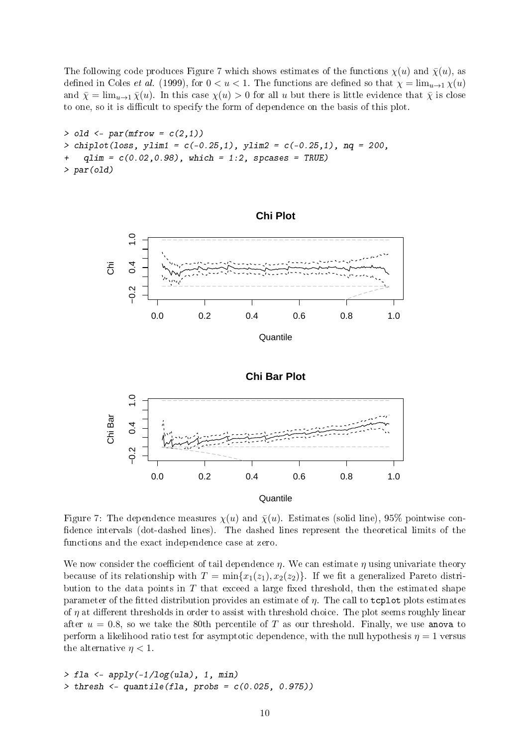The following code produces Figure 7 which shows estimates of the functions  $\chi(u)$  and  $\bar{\chi}(u)$ , as defined in Coles *et al.* (1999), for  $0 < u < 1$ . The functions are defined so that  $\chi = \lim_{u \to 1} \chi(u)$ and  $\bar{\chi} = \lim_{u\to 1} \bar{\chi}(u)$ . In this case  $\chi(u) > 0$  for all u but there is little evidence that  $\bar{\chi}$  is close to one, so it is difficult to specify the form of dependence on the basis of this plot.

```
> old \leq par(mfrow = c(2,1))
> chiplot(loss, ylim1 = c(-0.25,1), ylim2 = c(-0.25,1), nq = 200,
    qlim = c(0.02, 0.98), which = 1:2, spcases = TRUE)
> par(old)
```


**Quantile** 

Figure 7: The dependence measures  $\chi(u)$  and  $\bar{\chi}(u)$ . Estimates (solid line), 95% pointwise confidence intervals (dot-dashed lines). The dashed lines represent the theoretical limits of the functions and the exact independence case at zero.

We now consider the coefficient of tail dependence  $\eta$ . We can estimate  $\eta$  using univariate theory because of its relationship with  $T = \min\{x_1(z_1), x_2(z_2)\}\)$ . If we fit a generalized Pareto distribution to the data points in  $T$  that exceed a large fixed threshold, then the estimated shape parameter of the fitted distribution provides an estimate of  $\eta$ . The call to tcplot plots estimates of  $\eta$  at different thresholds in order to assist with threshold choice. The plot seems roughly linear after  $u = 0.8$ , so we take the 80th percentile of T as our threshold. Finally, we use anova to perform a likelihood ratio test for asymptotic dependence, with the null hypothesis  $\eta = 1$  versus the alternative  $\eta < 1$ .

 $>$  fla  $\leq$  apply(-1/log(ula), 1, min)  $>$  thresh  $\leq$  quantile(fla, probs =  $c(0.025, 0.975)$ )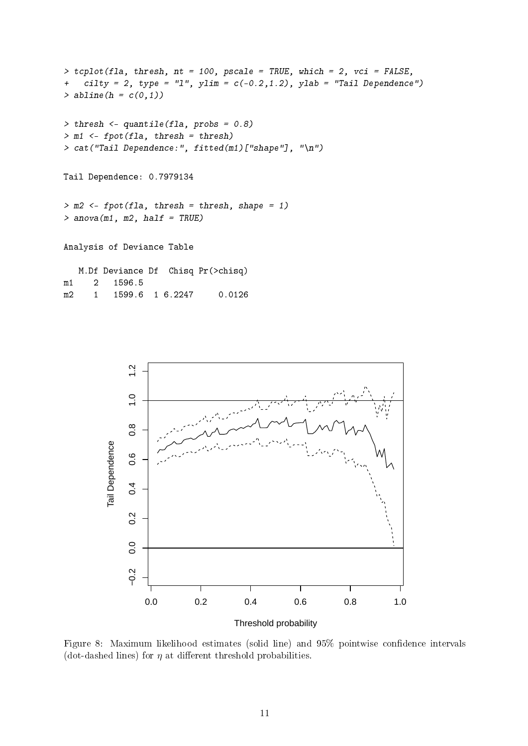```
> tcplot(fla, thresh, nt = 100, pscale = TRUE, which = 2, vci = FALSE,
+ cilty = 2, type = "1", ylim = c(-0.2, 1.2), ylab = "Tail Dependence")
> abline(h = c(0,1))
> thresh <- quantile(fla, probs = 0.8)
> m1 <- fpot(fla, thresh = thresh)
> cat("Tail Dependence:", fitted(m1)["shape"], "\n")
Tail Dependence: 0.7979134
> m2 <- fpot(fla, thresh = thresh, shape = 1)
> anova(m1, m2, half = TRUE)
Analysis of Deviance Table
   M.Df Deviance Df Chisq Pr(>chisq)
m1 2 1596.5
```
m2 1 1599.6 1 6.2247 0.0126



Figure 8: Maximum likelihood estimates (solid line) and 95% pointwise confidence intervals (dot-dashed lines) for  $\eta$  at different threshold probabilities.